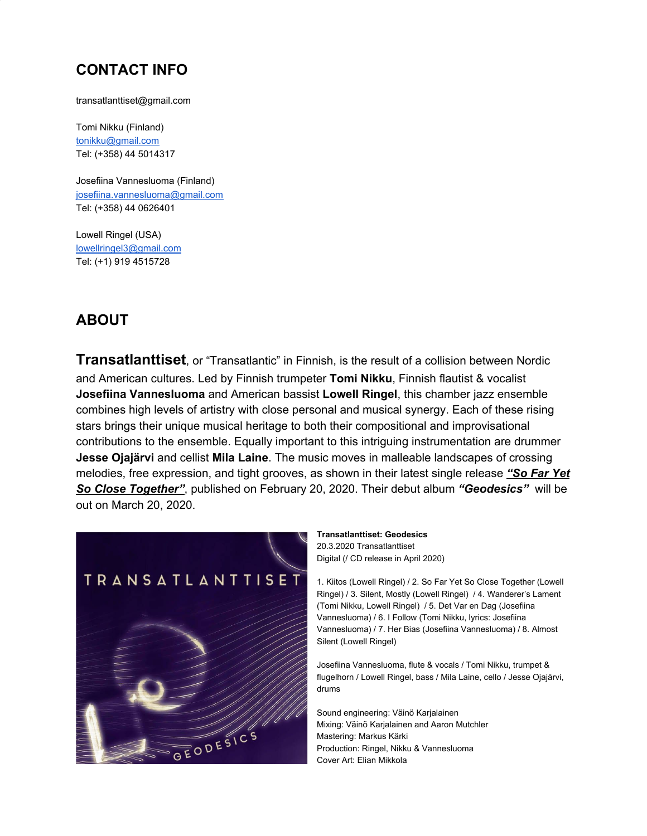## **CONTACT INFO**

transatlanttiset@gmail.com

Tomi Nikku (Finland) [tonikku@gmail.com](mailto:tonikku@gmail.com) Tel: (+358) 44 5014317

Josefiina Vannesluoma (Finland) [josefiina.vannesluoma@gmail.com](mailto:josefiina.vannesluoma@gmail.com) Tel: (+358) 44 0626401

Lowell Ringel (USA) [lowellringel3@gmail.com](mailto:lowellringel3@gmail.com) Tel: (+1) 919 4515728

# **ABOUT**

**Transatlanttiset**, or "Transatlantic" in Finnish, is the result of a collision between Nordic and American cultures. Led by Finnish trumpeter **Tomi Nikku**, Finnish flautist & vocalist **Josefiina Vannesluoma** and American bassist **Lowell Ringel**, this chamber jazz ensemble combines high levels of artistry with close personal and musical synergy. Each of these rising stars brings their unique musical heritage to both their compositional and improvisational contributions to the ensemble. Equally important to this intriguing instrumentation are drummer **Jesse Ojajärvi** and cellist **Mila Laine**. The music moves in malleable landscapes of crossing melodies, free expression, and tight grooves, as shown in their latest single release *["So](https://open.spotify.com/album/0vB3KPA2JmTM2GXG0GkLCr) Far Yet So Close [Together"](https://open.spotify.com/album/0vB3KPA2JmTM2GXG0GkLCr)*, published on February 20, 2020. Their debut album *"Geodesics"* will be out on March 20, 2020.



**Transatlanttiset: Geodesics** 20.3.2020 Transatlanttiset Digital (/ CD release in April 2020)

1. Kiitos (Lowell Ringel) / 2. So Far Yet So Close Together (Lowell Ringel) / 3. Silent, Mostly (Lowell Ringel) / 4. Wanderer's Lament (Tomi Nikku, Lowell Ringel) / 5. Det Var en Dag (Josefiina Vannesluoma) / 6. I Follow (Tomi Nikku, lyrics: Josefiina Vannesluoma) / 7. Her Bias (Josefiina Vannesluoma) / 8. Almost Silent (Lowell Ringel)

Josefiina Vannesluoma, flute & vocals / Tomi Nikku, trumpet & flugelhorn / Lowell Ringel, bass / Mila Laine, cello / Jesse Ojajärvi, drums

Sound engineering: Väinö Karjalainen Mixing: Väinö Karjalainen and Aaron Mutchler Mastering: Markus Kärki Production: Ringel, Nikku & Vannesluoma Cover Art: Elian Mikkola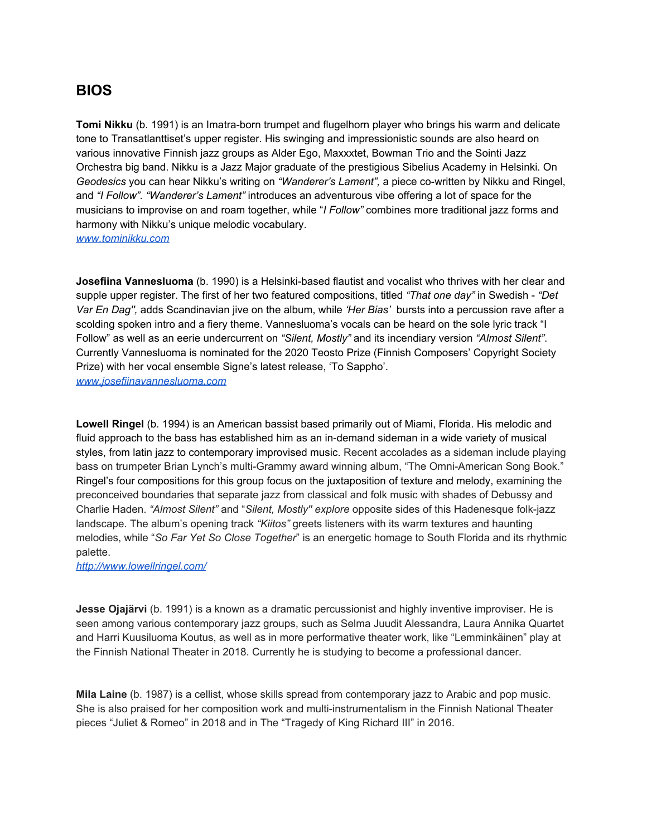### **BIOS**

**Tomi Nikku** (b. 1991) is an Imatra-born trumpet and flugelhorn player who brings his warm and delicate tone to Transatlanttiset's upper register. His swinging and impressionistic sounds are also heard on various innovative Finnish jazz groups as Alder Ego, Maxxxtet, Bowman Trio and the Sointi Jazz Orchestra big band. Nikku is a Jazz Major graduate of the prestigious Sibelius Academy in Helsinki. On *Geodesics* you can hear Nikku's writing on *"Wanderer's Lament",* a piece co-written by Nikku and Ringel, and *"I Follow". "Wanderer's Lament"* introduces an adventurous vibe offering a lot of space for the musicians to improvise on and roam together, while "*I Follow"* combines more traditional jazz forms and harmony with Nikku's unique melodic vocabulary. *[www.tominikku.com](http://www.tominikku.com/)*

**Josefiina Vannesluoma** (b. 1990) is a Helsinki-based flautist and vocalist who thrives with her clear and supple upper register. The first of her two featured compositions, titled *"That one day"* in Swedish - *"Det Var En Dag'',* adds Scandinavian jive on the album, while *'Her Bias'* bursts into a percussion rave after a scolding spoken intro and a fiery theme. Vannesluoma's vocals can be heard on the sole lyric track "I Follow" as well as an eerie undercurrent on *"Silent, Mostly"* and its incendiary version *"Almost Silent"*. Currently Vannesluoma is nominated for the 2020 Teosto Prize (Finnish Composers' Copyright Society Prize) with her vocal ensemble Signe's latest release, 'To Sappho'. *[www.josefiinavannesluoma.com](http://www.josefiinavannesluoma.com/)*

**Lowell Ringel** (b. 1994) is an American bassist based primarily out of Miami, Florida. His melodic and fluid approach to the bass has established him as an in-demand sideman in a wide variety of musical styles, from latin jazz to contemporary improvised music. Recent accolades as a sideman include playing bass on trumpeter Brian Lynch's multi-Grammy award winning album, "The Omni-American Song Book." Ringel's four compositions for this group focus on the juxtaposition of texture and melody, examining the preconceived boundaries that separate jazz from classical and folk music with shades of Debussy and Charlie Haden. *"Almost Silent"* and "*Silent, Mostly'' explore* opposite sides of this Hadenesque folk-jazz landscape. The album's opening track *"Kiitos"* greets listeners with its warm textures and haunting melodies, while "*So Far Yet So Close Together*" is an energetic homage to South Florida and its rhythmic palette.

*<http://www.lowellringel.com/>*

**Jesse Ojajärvi** (b. 1991) is a known as a dramatic percussionist and highly inventive improviser. He is seen among various contemporary jazz groups, such as Selma Juudit Alessandra, Laura Annika Quartet and Harri Kuusiluoma Koutus, as well as in more performative theater work, like "Lemminkäinen" play at the Finnish National Theater in 2018. Currently he is studying to become a professional dancer.

**Mila Laine** (b. 1987) is a cellist, whose skills spread from contemporary jazz to Arabic and pop music. She is also praised for her composition work and multi-instrumentalism in the Finnish National Theater pieces "Juliet & Romeo" in 2018 and in The "Tragedy of King Richard III" in 2016.